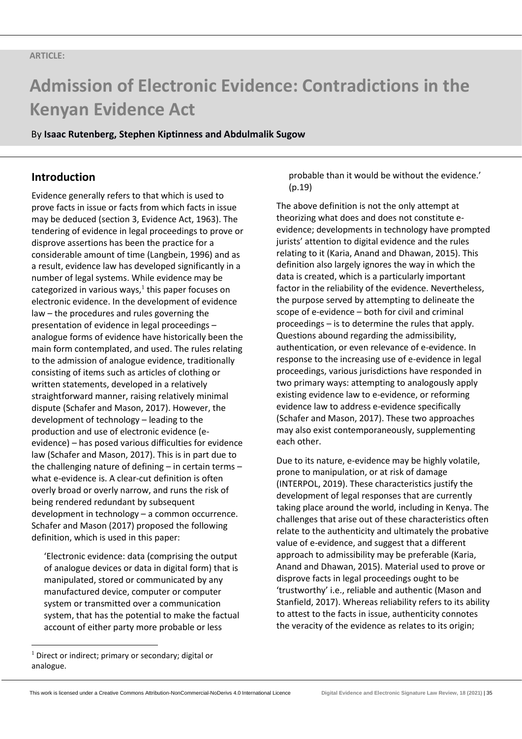By **Isaac Rutenberg, Stephen Kiptinness and Abdulmalik Sugow**

# **Introduction**

Evidence generally refers to that which is used to prove facts in issue or facts from which facts in issue may be deduced (section 3, Evidence Act, 1963). The tendering of evidence in legal proceedings to prove or disprove assertions has been the practice for a considerable amount of time (Langbein, 1996) and as a result, evidence law has developed significantly in a number of legal systems. While evidence may be categorized in various ways, $<sup>1</sup>$  this paper focuses on</sup> electronic evidence. In the development of evidence law – the procedures and rules governing the presentation of evidence in legal proceedings – analogue forms of evidence have historically been the main form contemplated, and used. The rules relating to the admission of analogue evidence, traditionally consisting of items such as articles of clothing or written statements, developed in a relatively straightforward manner, raising relatively minimal dispute (Schafer and Mason, 2017). However, the development of technology – leading to the production and use of electronic evidence (eevidence) – has posed various difficulties for evidence law (Schafer and Mason, 2017). This is in part due to the challenging nature of defining – in certain terms – what e-evidence is. A clear-cut definition is often overly broad or overly narrow, and runs the risk of being rendered redundant by subsequent development in technology – a common occurrence. Schafer and Mason (2017) proposed the following definition, which is used in this paper:

'Electronic evidence: data (comprising the output of analogue devices or data in digital form) that is manipulated, stored or communicated by any manufactured device, computer or computer system or transmitted over a communication system, that has the potential to make the factual account of either party more probable or less

probable than it would be without the evidence.' (p.19)

The above definition is not the only attempt at theorizing what does and does not constitute eevidence; developments in technology have prompted jurists' attention to digital evidence and the rules relating to it (Karia, Anand and Dhawan, 2015). This definition also largely ignores the way in which the data is created, which is a particularly important factor in the reliability of the evidence. Nevertheless, the purpose served by attempting to delineate the scope of e-evidence – both for civil and criminal proceedings – is to determine the rules that apply. Questions abound regarding the admissibility, authentication, or even relevance of e-evidence. In response to the increasing use of e-evidence in legal proceedings, various jurisdictions have responded in two primary ways: attempting to analogously apply existing evidence law to e-evidence, or reforming evidence law to address e-evidence specifically (Schafer and Mason, 2017). These two approaches may also exist contemporaneously, supplementing each other.

Due to its nature, e-evidence may be highly volatile, prone to manipulation, or at risk of damage (INTERPOL, 2019). These characteristics justify the development of legal responses that are currently taking place around the world, including in Kenya. The challenges that arise out of these characteristics often relate to the authenticity and ultimately the probative value of e-evidence, and suggest that a different approach to admissibility may be preferable (Karia, Anand and Dhawan, 2015). Material used to prove or disprove facts in legal proceedings ought to be 'trustworthy' i.e., reliable and authentic (Mason and Stanfield, 2017). Whereas reliability refers to its ability to attest to the facts in issue, authenticity connotes the veracity of the evidence as relates to its origin;

 $1$  Direct or indirect; primary or secondary; digital or analogue.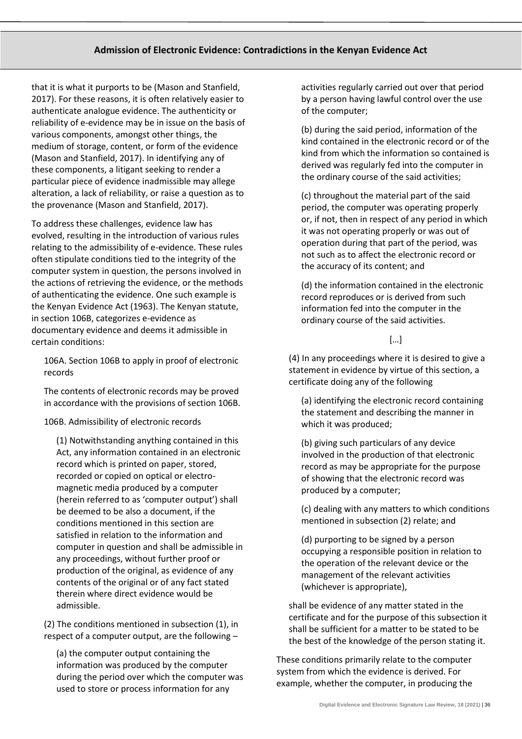that it is what it purports to be (Mason and Stanfield, 2017). For these reasons, it is often relatively easier to authenticate analogue evidence. The authenticity or reliability of e-evidence may be in issue on the basis of various components, amongst other things, the medium of storage, content, or form of the evidence (Mason and Stanfield, 2017). In identifying any of these components, a litigant seeking to render a particular piece of evidence inadmissible may allege alteration, a lack of reliability, or raise a question as to the provenance (Mason and Stanfield, 2017).

To address these challenges, evidence law has evolved, resulting in the introduction of various rules relating to the admissibility of e-evidence. These rules often stipulate conditions tied to the integrity of the computer system in question, the persons involved in the actions of retrieving the evidence, or the methods of authenticating the evidence. One such example is the Kenyan Evidence Act (1963). The Kenyan statute, in section 106B, categorizes e-evidence as documentary evidence and deems it admissible in certain conditions:

106A. Section 106B to apply in proof of electronic records

The contents of electronic records may be proved in accordance with the provisions of section 106B.

106B. Admissibility of electronic records

(1) Notwithstanding anything contained in this Act, any information contained in an electronic record which is printed on paper, stored, recorded or copied on optical or electromagnetic media produced by a computer (herein referred to as 'computer output') shall be deemed to be also a document, if the conditions mentioned in this section are satisfied in relation to the information and computer in question and shall be admissible in any proceedings, without further proof or production of the original, as evidence of any contents of the original or of any fact stated therein where direct evidence would be admissible.

(2) The conditions mentioned in subsection (1), in respect of a computer output, are the following –

(a) the computer output containing the information was produced by the computer during the period over which the computer was used to store or process information for any

activities regularly carried out over that period by a person having lawful control over the use of the computer;

(b) during the said period, information of the kind contained in the electronic record or of the kind from which the information so contained is derived was regularly fed into the computer in the ordinary course of the said activities;

(c) throughout the material part of the said period, the computer was operating properly or, if not, then in respect of any period in which it was not operating properly or was out of operation during that part of the period, was not such as to affect the electronic record or the accuracy of its content; and

(d) the information contained in the electronic record reproduces or is derived from such information fed into the computer in the ordinary course of the said activities.

 $[...]$ 

(4) In any proceedings where it is desired to give a statement in evidence by virtue of this section, a certificate doing any of the following

(a) identifying the electronic record containing the statement and describing the manner in which it was produced;

(b) giving such particulars of any device involved in the production of that electronic record as may be appropriate for the purpose of showing that the electronic record was produced by a computer;

(c) dealing with any matters to which conditions mentioned in subsection (2) relate; and

(d) purporting to be signed by a person occupying a responsible position in relation to the operation of the relevant device or the management of the relevant activities (whichever is appropriate),

shall be evidence of any matter stated in the certificate and for the purpose of this subsection it shall be sufficient for a matter to be stated to be the best of the knowledge of the person stating it.

These conditions primarily relate to the computer system from which the evidence is derived. For example, whether the computer, in producing the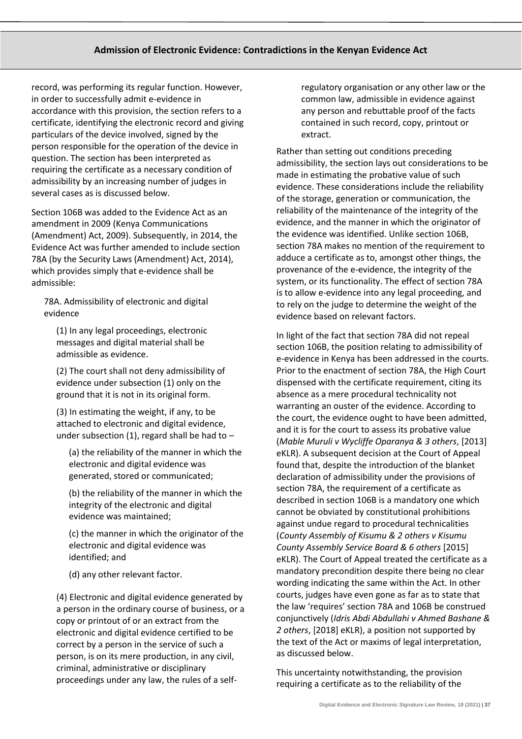record, was performing its regular function. However, in order to successfully admit e-evidence in accordance with this provision, the section refers to a certificate, identifying the electronic record and giving particulars of the device involved, signed by the person responsible for the operation of the device in question. The section has been interpreted as requiring the certificate as a necessary condition of admissibility by an increasing number of judges in several cases as is discussed below.

Section 106B was added to the Evidence Act as an amendment in 2009 (Kenya Communications (Amendment) Act, 2009). Subsequently, in 2014, the Evidence Act was further amended to include section 78A (by the Security Laws (Amendment) Act, 2014), which provides simply that e-evidence shall be admissible:

78A. Admissibility of electronic and digital evidence

(1) In any legal proceedings, electronic messages and digital material shall be admissible as evidence.

(2) The court shall not deny admissibility of evidence under subsection (1) only on the ground that it is not in its original form.

(3) In estimating the weight, if any, to be attached to electronic and digital evidence, under subsection (1), regard shall be had to  $-$ 

(a) the reliability of the manner in which the electronic and digital evidence was generated, stored or communicated;

(b) the reliability of the manner in which the integrity of the electronic and digital evidence was maintained;

(c) the manner in which the originator of the electronic and digital evidence was identified; and

(d) any other relevant factor.

(4) Electronic and digital evidence generated by a person in the ordinary course of business, or a copy or printout of or an extract from the electronic and digital evidence certified to be correct by a person in the service of such a person, is on its mere production, in any civil, criminal, administrative or disciplinary proceedings under any law, the rules of a selfregulatory organisation or any other law or the common law, admissible in evidence against any person and rebuttable proof of the facts contained in such record, copy, printout or extract.

Rather than setting out conditions preceding admissibility, the section lays out considerations to be made in estimating the probative value of such evidence. These considerations include the reliability of the storage, generation or communication, the reliability of the maintenance of the integrity of the evidence, and the manner in which the originator of the evidence was identified. Unlike section 106B, section 78A makes no mention of the requirement to adduce a certificate as to, amongst other things, the provenance of the e-evidence, the integrity of the system, or its functionality. The effect of section 78A is to allow e-evidence into any legal proceeding, and to rely on the judge to determine the weight of the evidence based on relevant factors.

In light of the fact that section 78A did not repeal section 106B, the position relating to admissibility of e-evidence in Kenya has been addressed in the courts. Prior to the enactment of section 78A, the High Court dispensed with the certificate requirement, citing its absence as a mere procedural technicality not warranting an ouster of the evidence. According to the court, the evidence ought to have been admitted, and it is for the court to assess its probative value (*Mable Muruli v Wycliffe Oparanya & 3 others*, [2013] eKLR). A subsequent decision at the Court of Appeal found that, despite the introduction of the blanket declaration of admissibility under the provisions of section 78A, the requirement of a certificate as described in section 106B is a mandatory one which cannot be obviated by constitutional prohibitions against undue regard to procedural technicalities (*County Assembly of Kisumu & 2 others v Kisumu County Assembly Service Board & 6 others* [2015] eKLR). The Court of Appeal treated the certificate as a mandatory precondition despite there being no clear wording indicating the same within the Act. In other courts, judges have even gone as far as to state that the law 'requires' section 78A and 106B be construed conjunctively (*Idris Abdi Abdullahi v Ahmed Bashane & 2 others*, [2018] eKLR), a position not supported by the text of the Act or maxims of legal interpretation, as discussed below.

This uncertainty notwithstanding, the provision requiring a certificate as to the reliability of the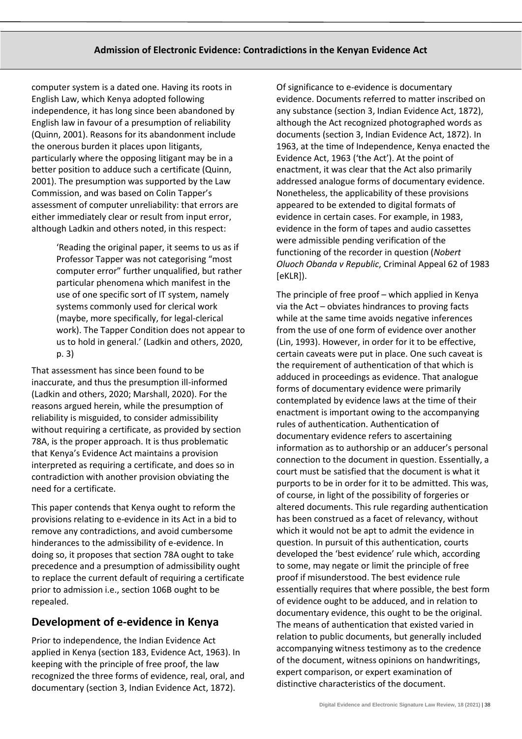computer system is a dated one. Having its roots in English Law, which Kenya adopted following independence, it has long since been abandoned by English law in favour of a presumption of reliability (Quinn, 2001). Reasons for its abandonment include the onerous burden it places upon litigants, particularly where the opposing litigant may be in a better position to adduce such a certificate (Quinn, 2001). The presumption was supported by the Law Commission, and was based on Colin Tapper's assessment of computer unreliability: that errors are either immediately clear or result from input error, although Ladkin and others noted, in this respect:

> 'Reading the original paper, it seems to us as if Professor Tapper was not categorising "most computer error" further unqualified, but rather particular phenomena which manifest in the use of one specific sort of IT system, namely systems commonly used for clerical work (maybe, more specifically, for legal-clerical work). The Tapper Condition does not appear to us to hold in general.' (Ladkin and others, 2020, p. 3)

That assessment has since been found to be inaccurate, and thus the presumption ill-informed (Ladkin and others, 2020; Marshall, 2020). For the reasons argued herein, while the presumption of reliability is misguided, to consider admissibility without requiring a certificate, as provided by section 78A, is the proper approach. It is thus problematic that Kenya's Evidence Act maintains a provision interpreted as requiring a certificate, and does so in contradiction with another provision obviating the need for a certificate.

This paper contends that Kenya ought to reform the provisions relating to e-evidence in its Act in a bid to remove any contradictions, and avoid cumbersome hinderances to the admissibility of e-evidence. In doing so, it proposes that section 78A ought to take precedence and a presumption of admissibility ought to replace the current default of requiring a certificate prior to admission i.e., section 106B ought to be repealed.

# **Development of e-evidence in Kenya**

Prior to independence, the Indian Evidence Act applied in Kenya (section 183, Evidence Act, 1963). In keeping with the principle of free proof, the law recognized the three forms of evidence, real, oral, and documentary (section 3, Indian Evidence Act, 1872).

Of significance to e-evidence is documentary evidence. Documents referred to matter inscribed on any substance (section 3, Indian Evidence Act, 1872), although the Act recognized photographed words as documents (section 3, Indian Evidence Act, 1872). In 1963, at the time of Independence, Kenya enacted the Evidence Act, 1963 ('the Act'). At the point of enactment, it was clear that the Act also primarily addressed analogue forms of documentary evidence. Nonetheless, the applicability of these provisions appeared to be extended to digital formats of evidence in certain cases. For example, in 1983, evidence in the form of tapes and audio cassettes were admissible pending verification of the functioning of the recorder in question (*Nobert Oluoch Obanda v Republic*, Criminal Appeal 62 of 1983 [eKLR]).

The principle of free proof – which applied in Kenya via the Act – obviates hindrances to proving facts while at the same time avoids negative inferences from the use of one form of evidence over another (Lin, 1993). However, in order for it to be effective, certain caveats were put in place. One such caveat is the requirement of authentication of that which is adduced in proceedings as evidence. That analogue forms of documentary evidence were primarily contemplated by evidence laws at the time of their enactment is important owing to the accompanying rules of authentication. Authentication of documentary evidence refers to ascertaining information as to authorship or an adducer's personal connection to the document in question. Essentially, a court must be satisfied that the document is what it purports to be in order for it to be admitted. This was, of course, in light of the possibility of forgeries or altered documents. This rule regarding authentication has been construed as a facet of relevancy, without which it would not be apt to admit the evidence in question. In pursuit of this authentication, courts developed the 'best evidence' rule which, according to some, may negate or limit the principle of free proof if misunderstood. The best evidence rule essentially requires that where possible, the best form of evidence ought to be adduced, and in relation to documentary evidence, this ought to be the original. The means of authentication that existed varied in relation to public documents, but generally included accompanying witness testimony as to the credence of the document, witness opinions on handwritings, expert comparison, or expert examination of distinctive characteristics of the document.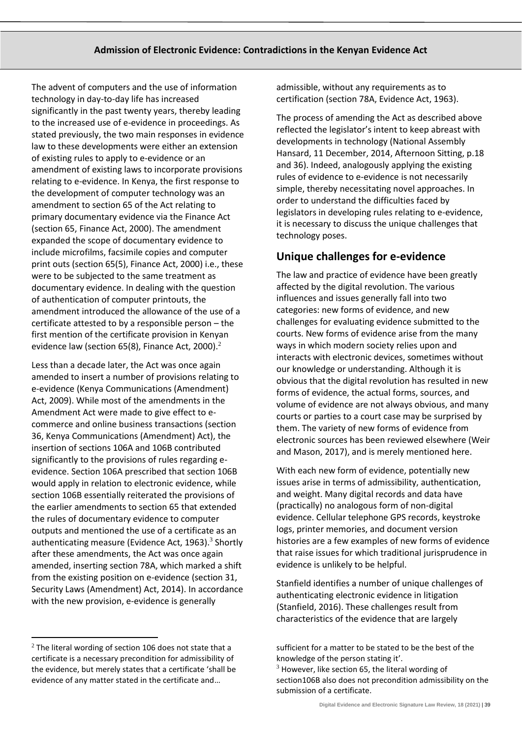The advent of computers and the use of information technology in day-to-day life has increased significantly in the past twenty years, thereby leading to the increased use of e-evidence in proceedings. As stated previously, the two main responses in evidence law to these developments were either an extension of existing rules to apply to e-evidence or an amendment of existing laws to incorporate provisions relating to e-evidence. In Kenya, the first response to the development of computer technology was an amendment to section 65 of the Act relating to primary documentary evidence via the Finance Act (section 65, Finance Act, 2000). The amendment expanded the scope of documentary evidence to include microfilms, facsimile copies and computer print outs (section 65(5), Finance Act, 2000) i.e., these were to be subjected to the same treatment as documentary evidence. In dealing with the question of authentication of computer printouts, the amendment introduced the allowance of the use of a certificate attested to by a responsible person – the first mention of the certificate provision in Kenyan evidence law (section 65(8), Finance Act, 2000). $^2$ 

Less than a decade later, the Act was once again amended to insert a number of provisions relating to e-evidence (Kenya Communications (Amendment) Act, 2009). While most of the amendments in the Amendment Act were made to give effect to ecommerce and online business transactions (section 36, Kenya Communications (Amendment) Act), the insertion of sections 106A and 106B contributed significantly to the provisions of rules regarding eevidence. Section 106A prescribed that section 106B would apply in relation to electronic evidence, while section 106B essentially reiterated the provisions of the earlier amendments to section 65 that extended the rules of documentary evidence to computer outputs and mentioned the use of a certificate as an authenticating measure (Evidence Act, 1963).<sup>3</sup> Shortly after these amendments, the Act was once again amended, inserting section 78A, which marked a shift from the existing position on e-evidence (section 31, Security Laws (Amendment) Act, 2014). In accordance with the new provision, e-evidence is generally

admissible, without any requirements as to certification (section 78A, Evidence Act, 1963).

The process of amending the Act as described above reflected the legislator's intent to keep abreast with developments in technology (National Assembly Hansard, 11 December, 2014, Afternoon Sitting, p.18 and 36). Indeed, analogously applying the existing rules of evidence to e-evidence is not necessarily simple, thereby necessitating novel approaches. In order to understand the difficulties faced by legislators in developing rules relating to e-evidence, it is necessary to discuss the unique challenges that technology poses.

# **Unique challenges for e-evidence**

The law and practice of evidence have been greatly affected by the digital revolution. The various influences and issues generally fall into two categories: new forms of evidence, and new challenges for evaluating evidence submitted to the courts. New forms of evidence arise from the many ways in which modern society relies upon and interacts with electronic devices, sometimes without our knowledge or understanding. Although it is obvious that the digital revolution has resulted in new forms of evidence, the actual forms, sources, and volume of evidence are not always obvious, and many courts or parties to a court case may be surprised by them. The variety of new forms of evidence from electronic sources has been reviewed elsewhere (Weir and Mason, 2017), and is merely mentioned here.

With each new form of evidence, potentially new issues arise in terms of admissibility, authentication, and weight. Many digital records and data have (practically) no analogous form of non-digital evidence. Cellular telephone GPS records, keystroke logs, printer memories, and document version histories are a few examples of new forms of evidence that raise issues for which traditional jurisprudence in evidence is unlikely to be helpful.

Stanfield identifies a number of unique challenges of authenticating electronic evidence in litigation (Stanfield, 2016). These challenges result from characteristics of the evidence that are largely

 $2$  The literal wording of section 106 does not state that a certificate is a necessary precondition for admissibility of the evidence, but merely states that a certificate 'shall be evidence of any matter stated in the certificate and…

sufficient for a matter to be stated to be the best of the knowledge of the person stating it'.  $3$  However, like section 65, the literal wording of

section106B also does not precondition admissibility on the submission of a certificate.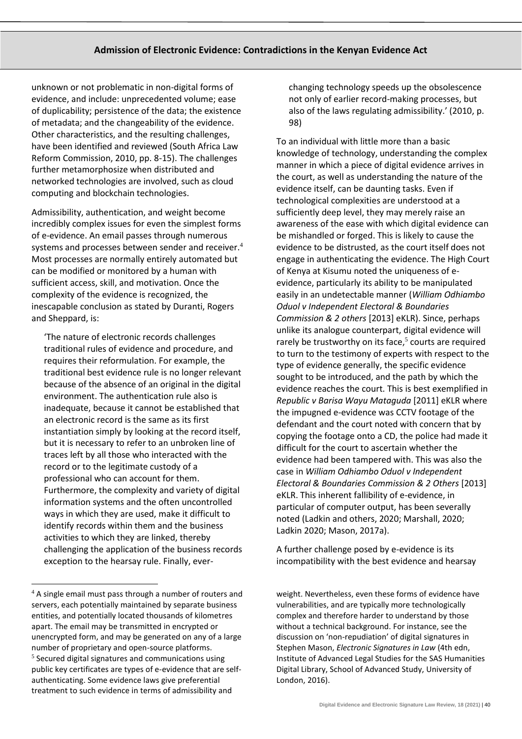unknown or not problematic in non-digital forms of evidence, and include: unprecedented volume; ease of duplicability; persistence of the data; the existence of metadata; and the changeability of the evidence. Other characteristics, and the resulting challenges, have been identified and reviewed (South Africa Law Reform Commission, 2010, pp. 8-15). The challenges further metamorphosize when distributed and networked technologies are involved, such as cloud computing and blockchain technologies.

Admissibility, authentication, and weight become incredibly complex issues for even the simplest forms of e-evidence. An email passes through numerous systems and processes between sender and receiver.<sup>4</sup> Most processes are normally entirely automated but can be modified or monitored by a human with sufficient access, skill, and motivation. Once the complexity of the evidence is recognized, the inescapable conclusion as stated by Duranti, Rogers and Sheppard, is:

'The nature of electronic records challenges traditional rules of evidence and procedure, and requires their reformulation. For example, the traditional best evidence rule is no longer relevant because of the absence of an original in the digital environment. The authentication rule also is inadequate, because it cannot be established that an electronic record is the same as its first instantiation simply by looking at the record itself, but it is necessary to refer to an unbroken line of traces left by all those who interacted with the record or to the legitimate custody of a professional who can account for them. Furthermore, the complexity and variety of digital information systems and the often uncontrolled ways in which they are used, make it difficult to identify records within them and the business activities to which they are linked, thereby challenging the application of the business records exception to the hearsay rule. Finally, everchanging technology speeds up the obsolescence not only of earlier record-making processes, but also of the laws regulating admissibility.' (2010, p. 98)

To an individual with little more than a basic knowledge of technology, understanding the complex manner in which a piece of digital evidence arrives in the court, as well as understanding the nature of the evidence itself, can be daunting tasks. Even if technological complexities are understood at a sufficiently deep level, they may merely raise an awareness of the ease with which digital evidence can be mishandled or forged. This is likely to cause the evidence to be distrusted, as the court itself does not engage in authenticating the evidence. The High Court of Kenya at Kisumu noted the uniqueness of eevidence, particularly its ability to be manipulated easily in an undetectable manner (*William Odhiambo Oduol v Independent Electoral & Boundaries Commission & 2 others* [2013] eKLR). Since, perhaps unlike its analogue counterpart, digital evidence will rarely be trustworthy on its face,<sup>5</sup> courts are required to turn to the testimony of experts with respect to the type of evidence generally, the specific evidence sought to be introduced, and the path by which the evidence reaches the court. This is best exemplified in *Republic v Barisa Wayu Mataguda* [2011] eKLR where the impugned e-evidence was CCTV footage of the defendant and the court noted with concern that by copying the footage onto a CD, the police had made it difficult for the court to ascertain whether the evidence had been tampered with. This was also the case in *William Odhiambo Oduol v Independent Electoral & Boundaries Commission & 2 Others* [2013] eKLR. This inherent fallibility of e-evidence, in particular of computer output, has been severally noted (Ladkin and others, 2020; Marshall, 2020; Ladkin 2020; Mason, 2017a).

A further challenge posed by e-evidence is its incompatibility with the best evidence and hearsay

 $4$  A single email must pass through a number of routers and servers, each potentially maintained by separate business entities, and potentially located thousands of kilometres apart. The email may be transmitted in encrypted or unencrypted form, and may be generated on any of a large number of proprietary and open-source platforms. 5 Secured digital signatures and communications using public key certificates are types of e-evidence that are selfauthenticating. Some evidence laws give preferential treatment to such evidence in terms of admissibility and

weight. Nevertheless, even these forms of evidence have vulnerabilities, and are typically more technologically complex and therefore harder to understand by those without a technical background. For instance, see the discussion on 'non-repudiation' of digital signatures in Stephen Mason, *Electronic Signatures in Law* (4th edn, Institute of Advanced Legal Studies for the SAS Humanities Digital Library, School of Advanced Study, University of London, 2016).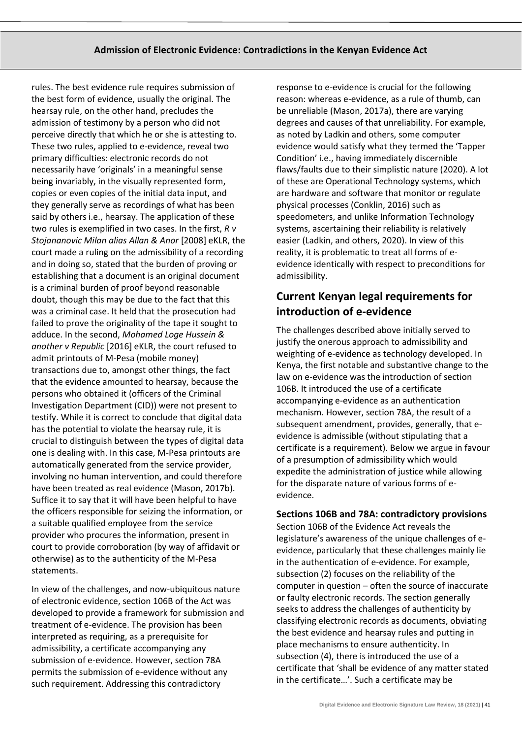rules. The best evidence rule requires submission of the best form of evidence, usually the original. The hearsay rule, on the other hand, precludes the admission of testimony by a person who did not perceive directly that which he or she is attesting to. These two rules, applied to e-evidence, reveal two primary difficulties: electronic records do not necessarily have 'originals' in a meaningful sense being invariably, in the visually represented form, copies or even copies of the initial data input, and they generally serve as recordings of what has been said by others i.e., hearsay. The application of these two rules is exemplified in two cases. In the first, *R v Stojananovic Milan alias Allan & Anor* [2008] eKLR, the court made a ruling on the admissibility of a recording and in doing so, stated that the burden of proving or establishing that a document is an original document is a criminal burden of proof beyond reasonable doubt, though this may be due to the fact that this was a criminal case. It held that the prosecution had failed to prove the originality of the tape it sought to adduce. In the second, *Mohamed Loge Hussein & another v Republic* [2016] eKLR, the court refused to admit printouts of M-Pesa (mobile money) transactions due to, amongst other things, the fact that the evidence amounted to hearsay, because the persons who obtained it (officers of the Criminal Investigation Department (CID)) were not present to testify. While it is correct to conclude that digital data has the potential to violate the hearsay rule, it is crucial to distinguish between the types of digital data one is dealing with. In this case, M-Pesa printouts are automatically generated from the service provider, involving no human intervention, and could therefore have been treated as real evidence (Mason, 2017b). Suffice it to say that it will have been helpful to have the officers responsible for seizing the information, or a suitable qualified employee from the service provider who procures the information, present in court to provide corroboration (by way of affidavit or otherwise) as to the authenticity of the M-Pesa statements.

In view of the challenges, and now-ubiquitous nature of electronic evidence, section 106B of the Act was developed to provide a framework for submission and treatment of e-evidence. The provision has been interpreted as requiring, as a prerequisite for admissibility, a certificate accompanying any submission of e-evidence. However, section 78A permits the submission of e-evidence without any such requirement. Addressing this contradictory

response to e-evidence is crucial for the following reason: whereas e-evidence, as a rule of thumb, can be unreliable (Mason, 2017a), there are varying degrees and causes of that unreliability. For example, as noted by Ladkin and others, some computer evidence would satisfy what they termed the 'Tapper Condition' i.e., having immediately discernible flaws/faults due to their simplistic nature (2020). A lot of these are Operational Technology systems, which are hardware and software that monitor or regulate physical processes (Conklin, 2016) such as speedometers, and unlike Information Technology systems, ascertaining their reliability is relatively easier (Ladkin, and others, 2020). In view of this reality, it is problematic to treat all forms of eevidence identically with respect to preconditions for admissibility.

# **Current Kenyan legal requirements for introduction of e-evidence**

The challenges described above initially served to justify the onerous approach to admissibility and weighting of e-evidence as technology developed. In Kenya, the first notable and substantive change to the law on e-evidence was the introduction of section 106B. It introduced the use of a certificate accompanying e-evidence as an authentication mechanism. However, section 78A, the result of a subsequent amendment, provides, generally, that eevidence is admissible (without stipulating that a certificate is a requirement). Below we argue in favour of a presumption of admissibility which would expedite the administration of justice while allowing for the disparate nature of various forms of eevidence.

#### **Sections 106B and 78A: contradictory provisions**

Section 106B of the Evidence Act reveals the legislature's awareness of the unique challenges of eevidence, particularly that these challenges mainly lie in the authentication of e-evidence. For example, subsection (2) focuses on the reliability of the computer in question – often the source of inaccurate or faulty electronic records. The section generally seeks to address the challenges of authenticity by classifying electronic records as documents, obviating the best evidence and hearsay rules and putting in place mechanisms to ensure authenticity. In subsection (4), there is introduced the use of a certificate that 'shall be evidence of any matter stated in the certificate…'. Such a certificate may be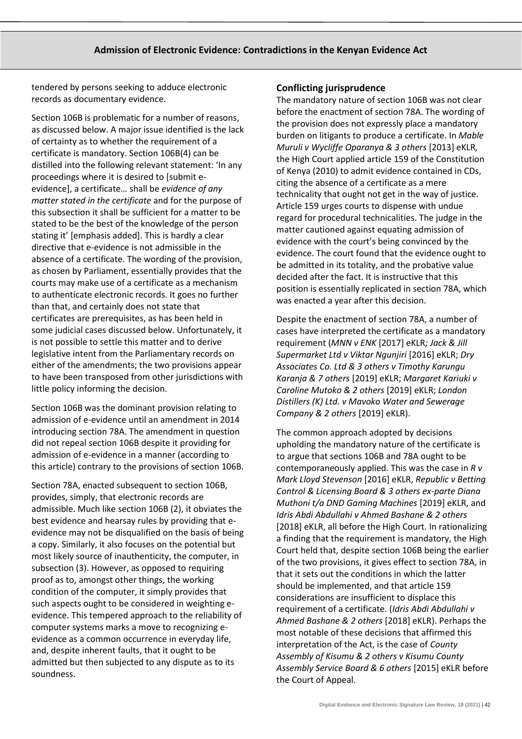tendered by persons seeking to adduce electronic records as documentary evidence.

Section 106B is problematic for a number of reasons, as discussed below. A major issue identified is the lack of certainty as to whether the requirement of a certificate is mandatory. Section 106B(4) can be distilled into the following relevant statement: 'In any proceedings where it is desired to [submit eevidence], a certificate… shall be *evidence of any matter stated in the certificate* and for the purpose of this subsection it shall be sufficient for a matter to be stated to be the best of the knowledge of the person stating it' [emphasis added]. This is hardly a clear directive that e-evidence is not admissible in the absence of a certificate. The wording of the provision, as chosen by Parliament, essentially provides that the courts may make use of a certificate as a mechanism to authenticate electronic records. It goes no further than that, and certainly does not state that certificates are prerequisites, as has been held in some judicial cases discussed below. Unfortunately, it is not possible to settle this matter and to derive legislative intent from the Parliamentary records on either of the amendments; the two provisions appear to have been transposed from other jurisdictions with little policy informing the decision.

Section 106B was the dominant provision relating to admission of e-evidence until an amendment in 2014 introducing section 78A. The amendment in question did not repeal section 106B despite it providing for admission of e-evidence in a manner (according to this article) contrary to the provisions of section 106B.

Section 78A, enacted subsequent to section 106B, provides, simply, that electronic records are admissible. Much like section 106B (2), it obviates the best evidence and hearsay rules by providing that eevidence may not be disqualified on the basis of being a copy. Similarly, it also focuses on the potential but most likely source of inauthenticity, the computer, in subsection (3). However, as opposed to requiring proof as to, amongst other things, the working condition of the computer, it simply provides that such aspects ought to be considered in weighting eevidence. This tempered approach to the reliability of computer systems marks a move to recognizing eevidence as a common occurrence in everyday life, and, despite inherent faults, that it ought to be admitted but then subjected to any dispute as to its soundness.

#### **Conflicting jurisprudence**

The mandatory nature of section 106B was not clear before the enactment of section 78A. The wording of the provision does not expressly place a mandatory burden on litigants to produce a certificate. In *Mable Muruli v Wycliffe Oparanya & 3 others* [2013] eKLR*,* the High Court applied article 159 of the Constitution of Kenya (2010) to admit evidence contained in CDs, citing the absence of a certificate as a mere technicality that ought not get in the way of justice. Article 159 urges courts to dispense with undue regard for procedural technicalities. The judge in the matter cautioned against equating admission of evidence with the court's being convinced by the evidence. The court found that the evidence ought to be admitted in its totality, and the probative value decided after the fact. It is instructive that this position is essentially replicated in section 78A, which was enacted a year after this decision.

Despite the enactment of section 78A, a number of cases have interpreted the certificate as a mandatory requirement (*MNN v ENK* [2017] eKLR*; Jack & Jill Supermarket Ltd v Viktar Ngunjiri* [2016] eKLR; *Dry Associates Co. Ltd & 3 others v Timothy Karungu Karanja & 7 others* [2019] eKLR; *Margaret Kariuki v Caroline Mutoko & 2 others* [2019] eKLR; *London Distillers (K) Ltd. v Mavoko Water and Sewerage Company & 2 others* [2019] eKLR).

The common approach adopted by decisions upholding the mandatory nature of the certificate is to argue that sections 106B and 78A ought to be contemporaneously applied. This was the case in *R v Mark Lloyd Stevenson* [2016] eKLR, *Republic v Betting Control & Licensing Board & 3 others ex-parte Diana Muthoni t/a DND Gaming Machines* [2019] eKLR, and *Idris Abdi Abdullahi v Ahmed Bashane & 2 others* [2018] eKLR, all before the High Court. In rationalizing a finding that the requirement is mandatory, the High Court held that, despite section 106B being the earlier of the two provisions, it gives effect to section 78A, in that it sets out the conditions in which the latter should be implemented, and that article 159 considerations are insufficient to displace this requirement of a certificate. (*Idris Abdi Abdullahi v Ahmed Bashane & 2 others* [2018] eKLR). Perhaps the most notable of these decisions that affirmed this interpretation of the Act, is the case of *County Assembly of Kisumu & 2 others v Kisumu County Assembly Service Board & 6 others* [2015] eKLR before the Court of Appeal.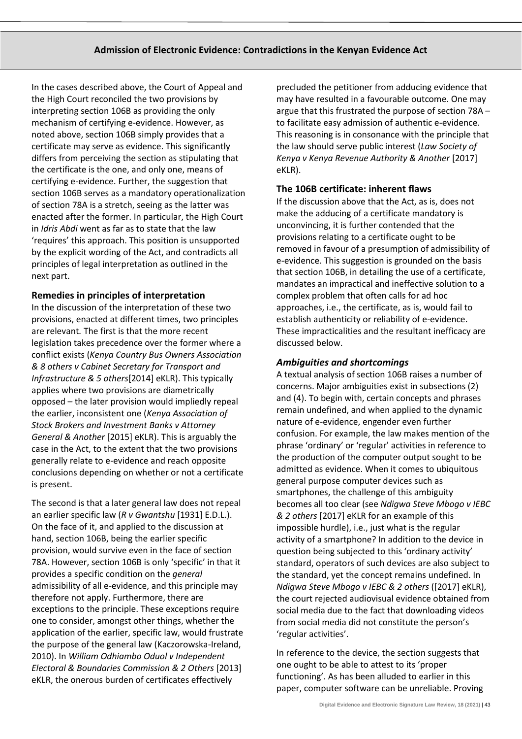In the cases described above, the Court of Appeal and the High Court reconciled the two provisions by interpreting section 106B as providing the only mechanism of certifying e-evidence. However, as noted above, section 106B simply provides that a certificate may serve as evidence. This significantly differs from perceiving the section as stipulating that the certificate is the one, and only one, means of certifying e-evidence. Further, the suggestion that section 106B serves as a mandatory operationalization of section 78A is a stretch, seeing as the latter was enacted after the former. In particular, the High Court in *Idris Abdi* went as far as to state that the law 'requires' this approach. This position is unsupported by the explicit wording of the Act, and contradicts all principles of legal interpretation as outlined in the next part.

## **Remedies in principles of interpretation**

In the discussion of the interpretation of these two provisions, enacted at different times, two principles are relevant*.* The first is that the more recent legislation takes precedence over the former where a conflict exists (*Kenya Country Bus Owners Association & 8 others v Cabinet Secretary for Transport and Infrastructure & 5 others*[2014] eKLR). This typically applies where two provisions are diametrically opposed – the later provision would impliedly repeal the earlier, inconsistent one (*Kenya Association of Stock Brokers and Investment Banks v Attorney General & Another* [2015] eKLR). This is arguably the case in the Act, to the extent that the two provisions generally relate to e-evidence and reach opposite conclusions depending on whether or not a certificate is present.

The second is that a later general law does not repeal an earlier specific law (*R v Gwantshu* [1931] E.D.L.). On the face of it, and applied to the discussion at hand, section 106B, being the earlier specific provision, would survive even in the face of section 78A. However, section 106B is only 'specific' in that it provides a specific condition on the *general* admissibility of all e-evidence, and this principle may therefore not apply. Furthermore, there are exceptions to the principle. These exceptions require one to consider, amongst other things, whether the application of the earlier, specific law, would frustrate the purpose of the general law (Kaczorowska-Ireland, 2010). In *William Odhiambo Oduol v Independent Electoral & Boundaries Commission & 2 Others* [2013] eKLR, the onerous burden of certificates effectively

precluded the petitioner from adducing evidence that may have resulted in a favourable outcome. One may argue that this frustrated the purpose of section 78A – to facilitate easy admission of authentic e-evidence. This reasoning is in consonance with the principle that the law should serve public interest (*Law Society of Kenya v Kenya Revenue Authority & Another* [2017] eKLR).

## **The 106B certificate: inherent flaws**

If the discussion above that the Act, as is, does not make the adducing of a certificate mandatory is unconvincing, it is further contended that the provisions relating to a certificate ought to be removed in favour of a presumption of admissibility of e-evidence. This suggestion is grounded on the basis that section 106B, in detailing the use of a certificate, mandates an impractical and ineffective solution to a complex problem that often calls for ad hoc approaches, i.e., the certificate, as is, would fail to establish authenticity or reliability of e-evidence. These impracticalities and the resultant inefficacy are discussed below.

## *Ambiguities and shortcomings*

A textual analysis of section 106B raises a number of concerns. Major ambiguities exist in subsections (2) and (4). To begin with, certain concepts and phrases remain undefined, and when applied to the dynamic nature of e-evidence, engender even further confusion. For example, the law makes mention of the phrase 'ordinary' or 'regular' activities in reference to the production of the computer output sought to be admitted as evidence. When it comes to ubiquitous general purpose computer devices such as smartphones, the challenge of this ambiguity becomes all too clear (see *Ndigwa Steve Mbogo v IEBC & 2 others* [2017] eKLR for an example of this impossible hurdle), i.e., just what is the regular activity of a smartphone? In addition to the device in question being subjected to this 'ordinary activity' standard, operators of such devices are also subject to the standard, yet the concept remains undefined. In *Ndigwa Steve Mbogo v IEBC & 2 others* ([2017] eKLR), the court rejected audiovisual evidence obtained from social media due to the fact that downloading videos from social media did not constitute the person's 'regular activities'.

In reference to the device, the section suggests that one ought to be able to attest to its 'proper functioning'. As has been alluded to earlier in this paper, computer software can be unreliable. Proving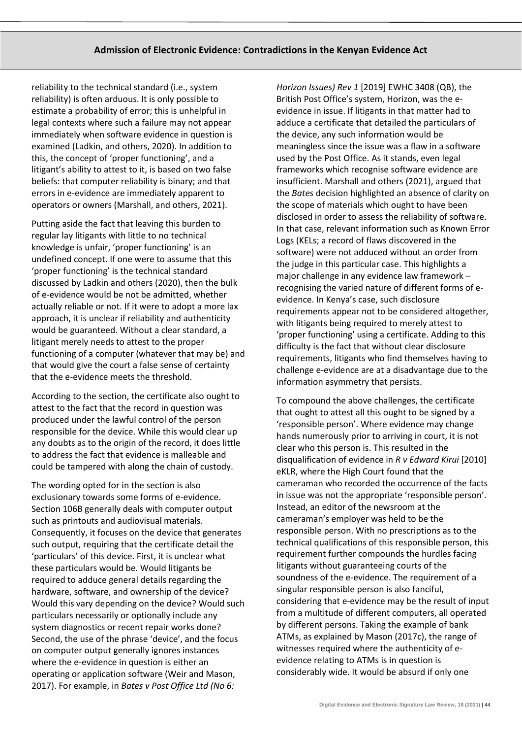reliability to the technical standard (i.e., system reliability) is often arduous. It is only possible to estimate a probability of error; this is unhelpful in legal contexts where such a failure may not appear immediately when software evidence in question is examined (Ladkin, and others, 2020). In addition to this, the concept of 'proper functioning', and a litigant's ability to attest to it, is based on two false beliefs: that computer reliability is binary; and that errors in e-evidence are immediately apparent to operators or owners (Marshall, and others, 2021).

Putting aside the fact that leaving this burden to regular lay litigants with little to no technical knowledge is unfair, 'proper functioning' is an undefined concept. If one were to assume that this 'proper functioning' is the technical standard discussed by Ladkin and others (2020), then the bulk of e-evidence would be not be admitted, whether actually reliable or not. If it were to adopt a more lax approach, it is unclear if reliability and authenticity would be guaranteed. Without a clear standard, a litigant merely needs to attest to the proper functioning of a computer (whatever that may be) and that would give the court a false sense of certainty that the e-evidence meets the threshold.

According to the section, the certificate also ought to attest to the fact that the record in question was produced under the lawful control of the person responsible for the device. While this would clear up any doubts as to the origin of the record, it does little to address the fact that evidence is malleable and could be tampered with along the chain of custody.

The wording opted for in the section is also exclusionary towards some forms of e-evidence. Section 106B generally deals with computer output such as printouts and audiovisual materials. Consequently, it focuses on the device that generates such output, requiring that the certificate detail the 'particulars' of this device. First, it is unclear what these particulars would be. Would litigants be required to adduce general details regarding the hardware, software, and ownership of the device? Would this vary depending on the device? Would such particulars necessarily or optionally include any system diagnostics or recent repair works done? Second, the use of the phrase 'device', and the focus on computer output generally ignores instances where the e-evidence in question is either an operating or application software (Weir and Mason, 2017). For example, in *Bates v Post Office Ltd (No 6:* 

*Horizon Issues) Rev 1* [2019] EWHC 3408 (QB), the British Post Office's system, Horizon, was the eevidence in issue. If litigants in that matter had to adduce a certificate that detailed the particulars of the device, any such information would be meaningless since the issue was a flaw in a software used by the Post Office. As it stands, even legal frameworks which recognise software evidence are insufficient. Marshall and others (2021), argued that the *Bates* decision highlighted an absence of clarity on the scope of materials which ought to have been disclosed in order to assess the reliability of software. In that case, relevant information such as Known Error Logs (KELs; a record of flaws discovered in the software) were not adduced without an order from the judge in this particular case. This highlights a major challenge in any evidence law framework – recognising the varied nature of different forms of eevidence. In Kenya's case, such disclosure requirements appear not to be considered altogether, with litigants being required to merely attest to 'proper functioning' using a certificate. Adding to this difficulty is the fact that without clear disclosure requirements, litigants who find themselves having to challenge e-evidence are at a disadvantage due to the information asymmetry that persists.

To compound the above challenges, the certificate that ought to attest all this ought to be signed by a 'responsible person'. Where evidence may change hands numerously prior to arriving in court, it is not clear who this person is. This resulted in the disqualification of evidence in *R v Edward Kirui* [2010] eKLR, where the High Court found that the cameraman who recorded the occurrence of the facts in issue was not the appropriate 'responsible person'. Instead, an editor of the newsroom at the cameraman's employer was held to be the responsible person. With no prescriptions as to the technical qualifications of this responsible person, this requirement further compounds the hurdles facing litigants without guaranteeing courts of the soundness of the e-evidence. The requirement of a singular responsible person is also fanciful, considering that e-evidence may be the result of input from a multitude of different computers, all operated by different persons. Taking the example of bank ATMs, as explained by Mason (2017c), the range of witnesses required where the authenticity of eevidence relating to ATMs is in question is considerably wide. It would be absurd if only one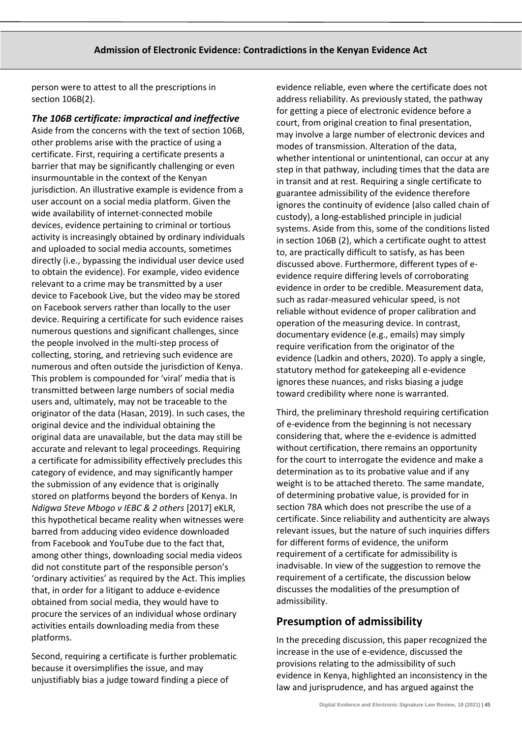person were to attest to all the prescriptions in section 106B(2).

*The 106B certificate: impractical and ineffective* Aside from the concerns with the text of section 106B, other problems arise with the practice of using a certificate. First, requiring a certificate presents a barrier that may be significantly challenging or even insurmountable in the context of the Kenyan jurisdiction. An illustrative example is evidence from a user account on a social media platform. Given the wide availability of internet-connected mobile devices, evidence pertaining to criminal or tortious activity is increasingly obtained by ordinary individuals and uploaded to social media accounts, sometimes directly (i.e., bypassing the individual user device used to obtain the evidence). For example, video evidence relevant to a crime may be transmitted by a user device to Facebook Live, but the video may be stored on Facebook servers rather than locally to the user device. Requiring a certificate for such evidence raises numerous questions and significant challenges, since the people involved in the multi-step process of collecting, storing, and retrieving such evidence are numerous and often outside the jurisdiction of Kenya. This problem is compounded for 'viral' media that is transmitted between large numbers of social media users and, ultimately, may not be traceable to the originator of the data (Hasan, 2019). In such cases, the original device and the individual obtaining the original data are unavailable, but the data may still be accurate and relevant to legal proceedings. Requiring a certificate for admissibility effectively precludes this category of evidence, and may significantly hamper the submission of any evidence that is originally stored on platforms beyond the borders of Kenya. In *Ndigwa Steve Mbogo v IEBC & 2 others* [2017] eKLR, this hypothetical became reality when witnesses were barred from adducing video evidence downloaded from Facebook and YouTube due to the fact that, among other things, downloading social media videos did not constitute part of the responsible person's 'ordinary activities' as required by the Act. This implies that, in order for a litigant to adduce e-evidence obtained from social media, they would have to procure the services of an individual whose ordinary activities entails downloading media from these platforms.

Second, requiring a certificate is further problematic because it oversimplifies the issue, and may unjustifiably bias a judge toward finding a piece of

evidence reliable, even where the certificate does not address reliability. As previously stated, the pathway for getting a piece of electronic evidence before a court, from original creation to final presentation, may involve a large number of electronic devices and modes of transmission. Alteration of the data, whether intentional or unintentional, can occur at any step in that pathway, including times that the data are in transit and at rest. Requiring a single certificate to guarantee admissibility of the evidence therefore ignores the continuity of evidence (also called chain of custody), a long-established principle in judicial systems. Aside from this, some of the conditions listed in section 106B (2), which a certificate ought to attest to, are practically difficult to satisfy, as has been discussed above. Furthermore, different types of eevidence require differing levels of corroborating evidence in order to be credible. Measurement data, such as radar-measured vehicular speed, is not reliable without evidence of proper calibration and operation of the measuring device. In contrast, documentary evidence (e.g., emails) may simply require verification from the originator of the evidence (Ladkin and others, 2020). To apply a single, statutory method for gatekeeping all e-evidence ignores these nuances, and risks biasing a judge toward credibility where none is warranted.

Third, the preliminary threshold requiring certification of e-evidence from the beginning is not necessary considering that, where the e-evidence is admitted without certification, there remains an opportunity for the court to interrogate the evidence and make a determination as to its probative value and if any weight is to be attached thereto. The same mandate, of determining probative value, is provided for in section 78A which does not prescribe the use of a certificate. Since reliability and authenticity are always relevant issues, but the nature of such inquiries differs for different forms of evidence, the uniform requirement of a certificate for admissibility is inadvisable. In view of the suggestion to remove the requirement of a certificate, the discussion below discusses the modalities of the presumption of admissibility.

# **Presumption of admissibility**

In the preceding discussion, this paper recognized the increase in the use of e-evidence, discussed the provisions relating to the admissibility of such evidence in Kenya, highlighted an inconsistency in the law and jurisprudence, and has argued against the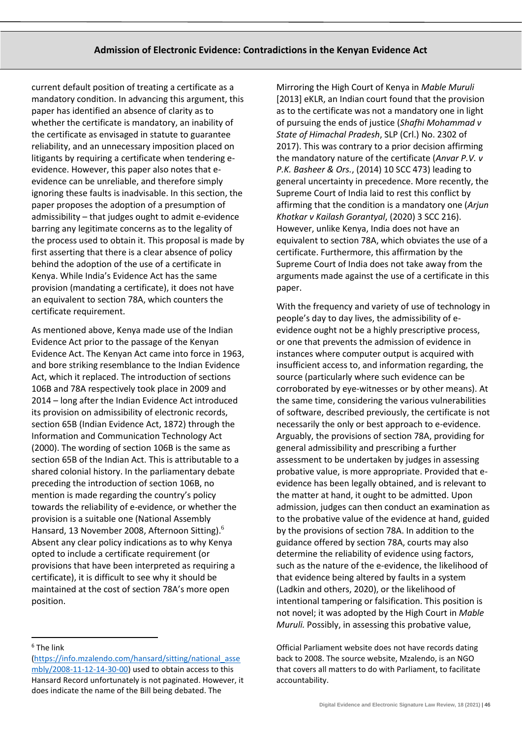current default position of treating a certificate as a mandatory condition. In advancing this argument, this paper has identified an absence of clarity as to whether the certificate is mandatory, an inability of the certificate as envisaged in statute to guarantee reliability, and an unnecessary imposition placed on litigants by requiring a certificate when tendering eevidence. However, this paper also notes that eevidence can be unreliable, and therefore simply ignoring these faults is inadvisable. In this section, the paper proposes the adoption of a presumption of admissibility – that judges ought to admit e-evidence barring any legitimate concerns as to the legality of the process used to obtain it. This proposal is made by first asserting that there is a clear absence of policy behind the adoption of the use of a certificate in Kenya. While India's Evidence Act has the same provision (mandating a certificate), it does not have an equivalent to section 78A, which counters the certificate requirement.

As mentioned above, Kenya made use of the Indian Evidence Act prior to the passage of the Kenyan Evidence Act. The Kenyan Act came into force in 1963, and bore striking resemblance to the Indian Evidence Act, which it replaced. The introduction of sections 106B and 78A respectively took place in 2009 and 2014 – long after the Indian Evidence Act introduced its provision on admissibility of electronic records, section 65B (Indian Evidence Act, 1872) through the Information and Communication Technology Act (2000). The wording of section 106B is the same as section 65B of the Indian Act. This is attributable to a shared colonial history. In the parliamentary debate preceding the introduction of section 106B, no mention is made regarding the country's policy towards the reliability of e-evidence, or whether the provision is a suitable one (National Assembly Hansard, 13 November 2008, Afternoon Sitting).<sup>6</sup> Absent any clear policy indications as to why Kenya opted to include a certificate requirement (or provisions that have been interpreted as requiring a certificate), it is difficult to see why it should be maintained at the cost of section 78A's more open position.

Mirroring the High Court of Kenya in *Mable Muruli* [2013] eKLR, an Indian court found that the provision as to the certificate was not a mandatory one in light of pursuing the ends of justice (*Shafhi Mohammad v State of Himachal Pradesh*, SLP (Crl.) No. 2302 of 2017). This was contrary to a prior decision affirming the mandatory nature of the certificate (*Anvar P.V. v P.K. Basheer & Ors.*, (2014) 10 SCC 473) leading to general uncertainty in precedence. More recently, the Supreme Court of India laid to rest this conflict by affirming that the condition is a mandatory one (*Arjun Khotkar v Kailash Gorantyal*, (2020) 3 SCC 216). However, unlike Kenya, India does not have an equivalent to section 78A, which obviates the use of a certificate. Furthermore, this affirmation by the Supreme Court of India does not take away from the arguments made against the use of a certificate in this paper.

With the frequency and variety of use of technology in people's day to day lives, the admissibility of eevidence ought not be a highly prescriptive process, or one that prevents the admission of evidence in instances where computer output is acquired with insufficient access to, and information regarding, the source (particularly where such evidence can be corroborated by eye-witnesses or by other means). At the same time, considering the various vulnerabilities of software, described previously, the certificate is not necessarily the only or best approach to e-evidence. Arguably, the provisions of section 78A, providing for general admissibility and prescribing a further assessment to be undertaken by judges in assessing probative value, is more appropriate. Provided that eevidence has been legally obtained, and is relevant to the matter at hand, it ought to be admitted. Upon admission, judges can then conduct an examination as to the probative value of the evidence at hand, guided by the provisions of section 78A. In addition to the guidance offered by section 78A, courts may also determine the reliability of evidence using factors, such as the nature of the e-evidence, the likelihood of that evidence being altered by faults in a system (Ladkin and others, 2020), or the likelihood of intentional tampering or falsification. This position is not novel; it was adopted by the High Court in *Mable Muruli.* Possibly, in assessing this probative value,

Official Parliament website does not have records dating back to 2008. The source website, Mzalendo, is an NGO that covers all matters to do with Parliament, to facilitate accountability.

 $6$  The link

[<sup>\(</sup>https://info.mzalendo.com/hansard/sitting/national\\_asse](https://info.mzalendo.com/hansard/sitting/national_assembly/2008-11-12-14-30-00) [mbly/2008-11-12-14-30-00\)](https://info.mzalendo.com/hansard/sitting/national_assembly/2008-11-12-14-30-00) used to obtain access to this Hansard Record unfortunately is not paginated. However, it does indicate the name of the Bill being debated. The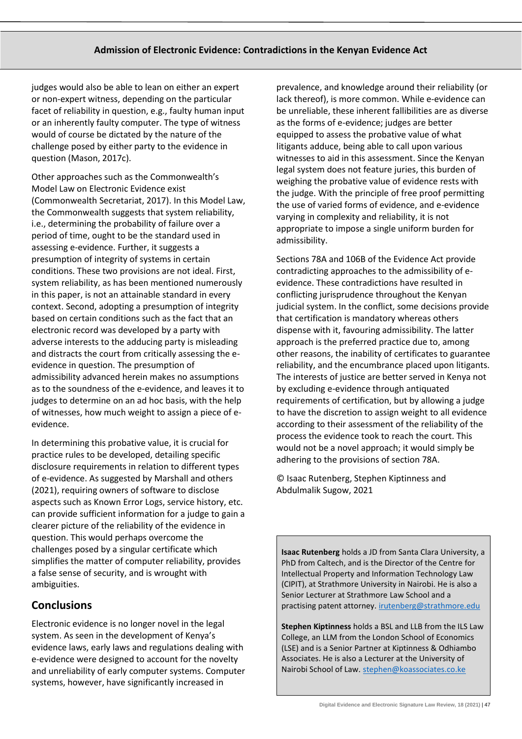judges would also be able to lean on either an expert or non-expert witness, depending on the particular facet of reliability in question, e.g., faulty human input or an inherently faulty computer. The type of witness would of course be dictated by the nature of the challenge posed by either party to the evidence in question (Mason, 2017c).

Other approaches such as the Commonwealth's Model Law on Electronic Evidence exist (Commonwealth Secretariat, 2017). In this Model Law, the Commonwealth suggests that system reliability, i.e., determining the probability of failure over a period of time, ought to be the standard used in assessing e-evidence. Further, it suggests a presumption of integrity of systems in certain conditions. These two provisions are not ideal. First, system reliability, as has been mentioned numerously in this paper, is not an attainable standard in every context. Second, adopting a presumption of integrity based on certain conditions such as the fact that an electronic record was developed by a party with adverse interests to the adducing party is misleading and distracts the court from critically assessing the eevidence in question. The presumption of admissibility advanced herein makes no assumptions as to the soundness of the e-evidence, and leaves it to judges to determine on an ad hoc basis, with the help of witnesses, how much weight to assign a piece of eevidence.

In determining this probative value, it is crucial for practice rules to be developed, detailing specific disclosure requirements in relation to different types of e-evidence. As suggested by Marshall and others (2021), requiring owners of software to disclose aspects such as Known Error Logs, service history, etc. can provide sufficient information for a judge to gain a clearer picture of the reliability of the evidence in question. This would perhaps overcome the challenges posed by a singular certificate which simplifies the matter of computer reliability, provides a false sense of security, and is wrought with ambiguities.

## **Conclusions**

Electronic evidence is no longer novel in the legal system. As seen in the development of Kenya's evidence laws, early laws and regulations dealing with e-evidence were designed to account for the novelty and unreliability of early computer systems. Computer systems, however, have significantly increased in

prevalence, and knowledge around their reliability (or lack thereof), is more common. While e-evidence can be unreliable, these inherent fallibilities are as diverse as the forms of e-evidence; judges are better equipped to assess the probative value of what litigants adduce, being able to call upon various witnesses to aid in this assessment. Since the Kenyan legal system does not feature juries, this burden of weighing the probative value of evidence rests with the judge. With the principle of free proof permitting the use of varied forms of evidence, and e-evidence varying in complexity and reliability, it is not appropriate to impose a single uniform burden for admissibility.

Sections 78A and 106B of the Evidence Act provide contradicting approaches to the admissibility of eevidence. These contradictions have resulted in conflicting jurisprudence throughout the Kenyan judicial system. In the conflict, some decisions provide that certification is mandatory whereas others dispense with it, favouring admissibility. The latter approach is the preferred practice due to, among other reasons, the inability of certificates to guarantee reliability, and the encumbrance placed upon litigants. The interests of justice are better served in Kenya not by excluding e-evidence through antiquated requirements of certification, but by allowing a judge to have the discretion to assign weight to all evidence according to their assessment of the reliability of the process the evidence took to reach the court. This would not be a novel approach; it would simply be adhering to the provisions of section 78A.

© Isaac Rutenberg, Stephen Kiptinness and Abdulmalik Sugow, 2021

**Isaac Rutenberg** holds a JD from Santa Clara University, a PhD from Caltech, and is the Director of the Centre for Intellectual Property and Information Technology Law (CIPIT), at Strathmore University in Nairobi. He is also a Senior Lecturer at Strathmore Law School and a practising patent attorney. [irutenberg@strathmore.edu](mailto:irutenberg@strathmore.edu)

**Stephen Kiptinness** holds a BSL and LLB from the ILS Law College, an LLM from the London School of Economics (LSE) and is a Senior Partner at Kiptinness & Odhiambo Associates. He is also a Lecturer at the University of Nairobi School of Law. [stephen@koassociates.co.ke](mailto:stephen@koassociates.co.ke)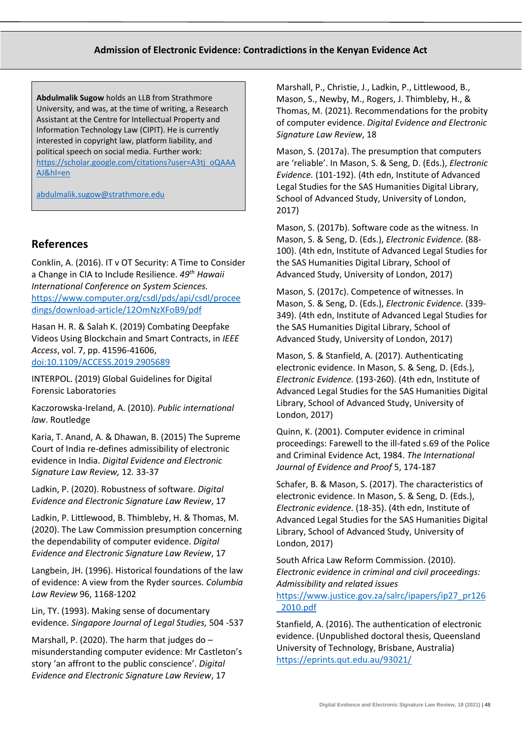**Abdulmalik Sugow** holds an LLB from Strathmore University, and was, at the time of writing, a Research Assistant at the Centre for Intellectual Property and Information Technology Law (CIPIT). He is currently interested in copyright law, platform liability, and political speech on social media. Further work: [https://scholar.google.com/citations?user=A3tj\\_oQAAA](https://scholar.google.com/citations?user=A3tj_oQAAAAJ&hl=en) [AJ&hl=en](https://scholar.google.com/citations?user=A3tj_oQAAAAJ&hl=en)

[abdulmalik.sugow@strathmore.edu](mailto:abdulmalik.sugow@strathmore.edu)

#### **References**

Conklin, A. (2016). IT v OT Security: A Time to Consider a Change in CIA to Include Resilience. *49th Hawaii International Conference on System Sciences.*  [https://www.computer.org/csdl/pds/api/csdl/procee](https://www.computer.org/csdl/pds/api/csdl/proceedings/download-article/12OmNzXFoB9/pdf) [dings/download-article/12OmNzXFoB9/pdf](https://www.computer.org/csdl/pds/api/csdl/proceedings/download-article/12OmNzXFoB9/pdf)

Hasan H. R. & Salah K. (2019) Combating Deepfake Videos Using Blockchain and Smart Contracts, in *IEEE Access*, vol. 7, pp. 41596-41606, [doi:10.1109/ACCESS.2019.2905689](https://ieeexplore.ieee.org/document/8668407)

INTERPOL. (2019) Global Guidelines for Digital Forensic Laboratories

Kaczorowska-Ireland, A. (2010). *Public international law*. Routledge

Karia, T. Anand, A. & Dhawan, B. (2015) The Supreme Court of India re-defines admissibility of electronic evidence in India. *Digital Evidence and Electronic Signature Law Review,* 12*.* 33-37

Ladkin, P. (2020). Robustness of software. *Digital Evidence and Electronic Signature Law Review*, 17

Ladkin, P. Littlewood, B. Thimbleby, H. & Thomas, M. (2020). The Law Commission presumption concerning the dependability of computer evidence. *Digital Evidence and Electronic Signature Law Review*, 17

Langbein, JH. (1996). Historical foundations of the law of evidence: A view from the Ryder sources. *Columbia Law Review* 96, 1168-1202

Lin, TY. (1993). Making sense of documentary evidence. *Singapore Journal of Legal Studies,* 504 -537

Marshall, P. (2020). The harm that judges do  $$ misunderstanding computer evidence: Mr Castleton's story 'an affront to the public conscience'. *Digital Evidence and Electronic Signature Law Review*, 17

Marshall, P., Christie, J., Ladkin, P., Littlewood, B., Mason, S., Newby, M., Rogers, J. Thimbleby, H., & Thomas, M. (2021). Recommendations for the probity of computer evidence. *Digital Evidence and Electronic Signature Law Review*, 18

Mason, S. (2017a). The presumption that computers are 'reliable'. In Mason, S. & Seng, D. (Eds.), *Electronic Evidence.* (101-192). (4th edn, Institute of Advanced Legal Studies for the SAS Humanities Digital Library, School of Advanced Study, University of London, 2017)

Mason, S. (2017b). Software code as the witness. In Mason, S. & Seng, D. (Eds.), *Electronic Evidence.* (88- 100). (4th edn, Institute of Advanced Legal Studies for the SAS Humanities Digital Library, School of Advanced Study, University of London, 2017)

Mason, S. (2017c). Competence of witnesses. In Mason, S. & Seng, D. (Eds.), *Electronic Evidence.* (339- 349). (4th edn, Institute of Advanced Legal Studies for the SAS Humanities Digital Library, School of Advanced Study, University of London, 2017)

Mason, S. & Stanfield, A. (2017). Authenticating electronic evidence. In Mason, S. & Seng, D. (Eds.), *Electronic Evidence.* (193-260). (4th edn, Institute of Advanced Legal Studies for the SAS Humanities Digital Library, School of Advanced Study, University of London, 2017)

Quinn, K. (2001). Computer evidence in criminal proceedings: Farewell to the ill-fated s.69 of the Police and Criminal Evidence Act, 1984. *The International Journal of Evidence and Proof* 5, 174-187

Schafer, B. & Mason, S. (2017). The characteristics of electronic evidence. In Mason, S. & Seng, D. (Eds.), *Electronic evidence.* (18-35). (4th edn, Institute of Advanced Legal Studies for the SAS Humanities Digital Library, School of Advanced Study, University of London, 2017)

South Africa Law Reform Commission. (2010). *Electronic evidence in criminal and civil proceedings: Admissibility and related issues*  [https://www.justice.gov.za/salrc/ipapers/ip27\\_pr126](https://www.justice.gov.za/salrc/ipapers/ip27_pr126_2010.pdf) [\\_2010.pdf](https://www.justice.gov.za/salrc/ipapers/ip27_pr126_2010.pdf)

Stanfield, A. (2016). The authentication of electronic evidence. (Unpublished doctoral thesis, Queensland University of Technology, Brisbane, Australia) <https://eprints.qut.edu.au/93021/>